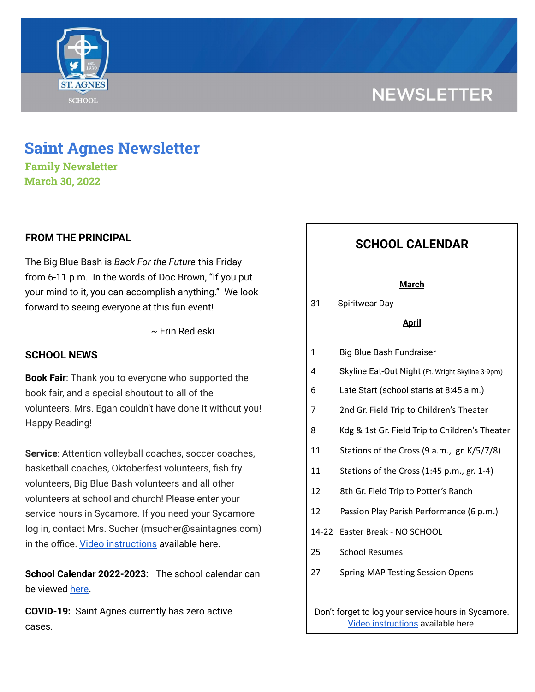# **NEWSLETTER**



**Family Newsletter March 30, 2022**

# **FROM THE PRINCIPAL**

The Big Blue Bash is *Back For the Future* this Friday from 6-11 p.m. In the words of Doc Brown, "If you put your mind to it, you can accomplish anything." We look forward to seeing everyone at this fun event!

~ Erin Redleski

## **SCHOOL NEWS**

**Book Fair**: Thank you to everyone who supported the book fair, and a special shoutout to all of the volunteers. Mrs. Egan couldn't have done it without you! Happy Reading!

**Service**: Attention volleyball coaches, soccer coaches, basketball coaches, Oktoberfest volunteers, fish fry volunteers, Big Blue Bash volunteers and all other volunteers at school and church! Please enter your service hours in Sycamore. If you need your Sycamore log in, contact Mrs. Sucher (msucher@saintagnes.com) in the office. Video [instructions](https://drive.google.com/file/d/1cmYj9N-NF2btSiiG8QdTD20q2RJRpwk7/view?usp=sharing) available here.

**School Calendar 2022-2023:** The school calendar can be viewed [here.](https://docs.google.com/document/d/19Jca5qDUn0PL7orYjTM3_tiJTiT1MqUm7a4nh3h5hlk/edit?usp=sharing)

**COVID-19:** Saint Agnes currently has zero active cases.

# **SCHOOL CALENDAR**

### **March**

31 Spiritwear Day

### **April**

- 1 Big Blue Bash Fundraiser
- 4 Skyline Eat-Out Night (Ft. Wright Skyline 3-9pm)
- 6 Late Start (school starts at 8:45 a.m.)
- 7 2nd Gr. Field Trip to Children's Theater
- 8 Kdg & 1st Gr. Field Trip to Children's Theater
- 11 Stations of the Cross (9 a.m., gr. K/5/7/8)
- 11 Stations of the Cross (1:45 p.m., gr. 1-4)
- 12 8th Gr. Field Trip to Potter's Ranch
- 12 Passion Play Parish Performance (6 p.m.)
- 14-22 Easter Break NO SCHOOL
- 25 School Resumes
- 27 Spring MAP Testing Session Opens

Don't forget to log your service hours in Sycamore. Video [instructions](https://drive.google.com/file/d/1cmYj9N-NF2btSiiG8QdTD20q2RJRpwk7/view?usp=sharing) available here.

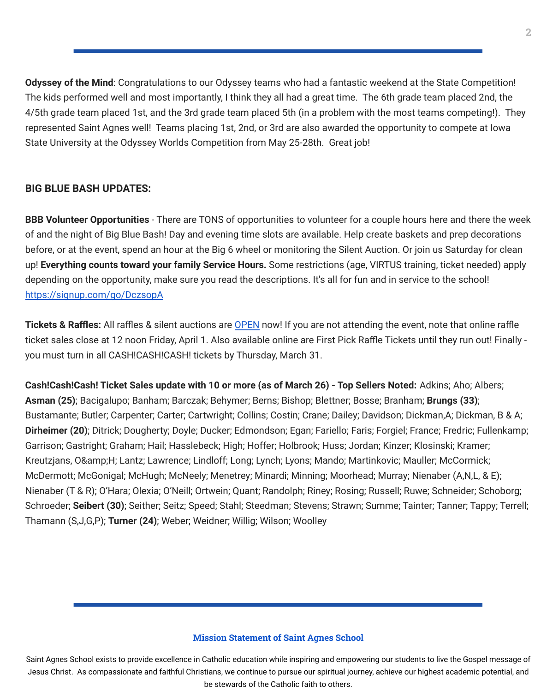**Odyssey of the Mind**: Congratulations to our Odyssey teams who had a fantastic weekend at the State Competition! The kids performed well and most importantly, I think they all had a great time. The 6th grade team placed 2nd, the 4/5th grade team placed 1st, and the 3rd grade team placed 5th (in a problem with the most teams competing!). They represented Saint Agnes well! Teams placing 1st, 2nd, or 3rd are also awarded the opportunity to compete at Iowa State University at the Odyssey Worlds Competition from May 25-28th. Great job!

# **BIG BLUE BASH UPDATES:**

**BBB Volunteer Opportunities** - There are TONS of opportunities to volunteer for a couple hours here and there the week of and the night of Big Blue Bash! Day and evening time slots are available. Help create baskets and prep decorations before, or at the event, spend an hour at the Big 6 wheel or monitoring the Silent Auction. Or join us Saturday for clean up! **Everything counts toward your family Service Hours.** Some restrictions (age, VIRTUS training, ticket needed) apply depending on the opportunity, make sure you read the descriptions. It's all for fun and in service to the school! <https://signup.com/go/DczsopA>

**Tickets & Raffles:** All raffles & silent auctions are [OPEN](https://bbb2022.givesmart.com/) now! If you are not attending the event, note that online raffle ticket sales close at 12 noon Friday, April 1. Also available online are First Pick Raffle Tickets until they run out! Finally you must turn in all CASH!CASH!CASH! tickets by Thursday, March 31.

**Cash!Cash!Cash! Ticket Sales update with 10 or more (as of March 26) - Top Sellers Noted:** Adkins; Aho; Albers; **Asman (25)**; Bacigalupo; Banham; Barczak; Behymer; Berns; Bishop; Blettner; Bosse; Branham; **Brungs (33)**; Bustamante; Butler; Carpenter; Carter; Cartwright; Collins; Costin; Crane; Dailey; Davidson; Dickman,A; Dickman, B & A; **Dirheimer (20)**; Ditrick; Dougherty; Doyle; Ducker; Edmondson; Egan; Fariello; Faris; Forgiel; France; Fredric; Fullenkamp; Garrison; Gastright; Graham; Hail; Hasslebeck; High; Hoffer; Holbrook; Huss; Jordan; Kinzer; Klosinski; Kramer; Kreutzjans, O&H; Lantz; Lawrence; Lindloff; Long; Lynch; Lyons; Mando; Martinkovic; Mauller; McCormick; McDermott; McGonigal; McHugh; McNeely; Menetrey; Minardi; Minning; Moorhead; Murray; Nienaber (A,N,L, & E); Nienaber (T & R); O'Hara; Olexia; O'Neill; Ortwein; Quant; Randolph; Riney; Rosing; Russell; Ruwe; Schneider; Schoborg; Schroeder; **Seibert (30)**; Seither; Seitz; Speed; Stahl; Steedman; Stevens; Strawn; Summe; Tainter; Tanner; Tappy; Terrell; Thamann (S,J,G,P); **Turner (24)**; Weber; Weidner; Willig; Wilson; Woolley

## **Mission Statement of Saint Agnes School**

Saint Agnes School exists to provide excellence in Catholic education while inspiring and empowering our students to live the Gospel message of Jesus Christ. As compassionate and faithful Christians, we continue to pursue our spiritual journey, achieve our highest academic potential, and be stewards of the Catholic faith to others.